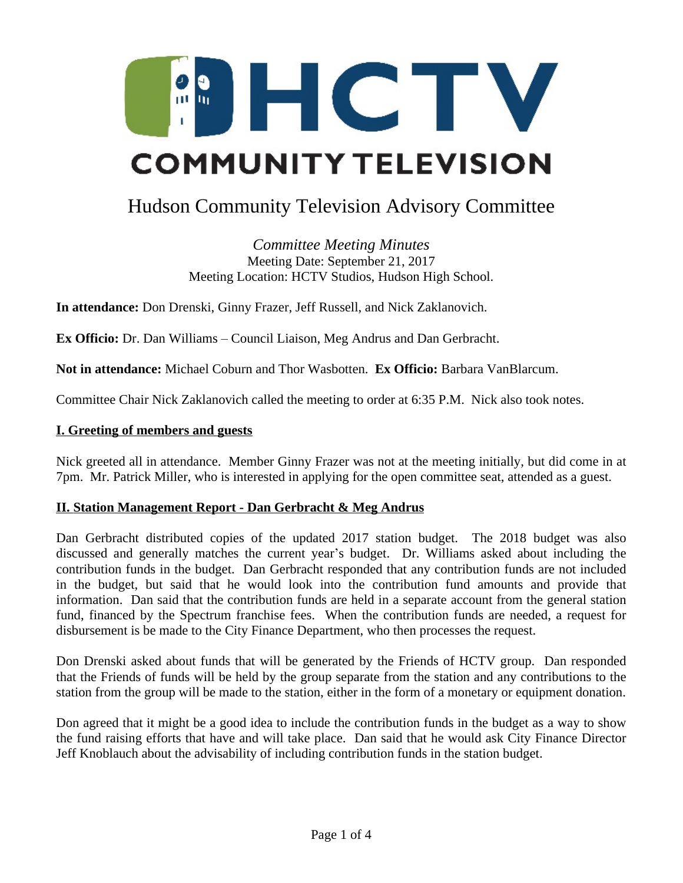

# Hudson Community Television Advisory Committee

*Committee Meeting Minutes* Meeting Date: September 21, 2017 Meeting Location: HCTV Studios, Hudson High School.

**In attendance:** Don Drenski, Ginny Frazer, Jeff Russell, and Nick Zaklanovich.

**Ex Officio:** Dr. Dan Williams – Council Liaison, Meg Andrus and Dan Gerbracht.

**Not in attendance:** Michael Coburn and Thor Wasbotten. **Ex Officio:** Barbara VanBlarcum.

Committee Chair Nick Zaklanovich called the meeting to order at 6:35 P.M. Nick also took notes.

#### **I. Greeting of members and guests**

Nick greeted all in attendance. Member Ginny Frazer was not at the meeting initially, but did come in at 7pm. Mr. Patrick Miller, who is interested in applying for the open committee seat, attended as a guest.

#### **II. Station Management Report - Dan Gerbracht & Meg Andrus**

Dan Gerbracht distributed copies of the updated 2017 station budget. The 2018 budget was also discussed and generally matches the current year's budget. Dr. Williams asked about including the contribution funds in the budget. Dan Gerbracht responded that any contribution funds are not included in the budget, but said that he would look into the contribution fund amounts and provide that information. Dan said that the contribution funds are held in a separate account from the general station fund, financed by the Spectrum franchise fees. When the contribution funds are needed, a request for disbursement is be made to the City Finance Department, who then processes the request.

Don Drenski asked about funds that will be generated by the Friends of HCTV group. Dan responded that the Friends of funds will be held by the group separate from the station and any contributions to the station from the group will be made to the station, either in the form of a monetary or equipment donation.

Don agreed that it might be a good idea to include the contribution funds in the budget as a way to show the fund raising efforts that have and will take place. Dan said that he would ask City Finance Director Jeff Knoblauch about the advisability of including contribution funds in the station budget.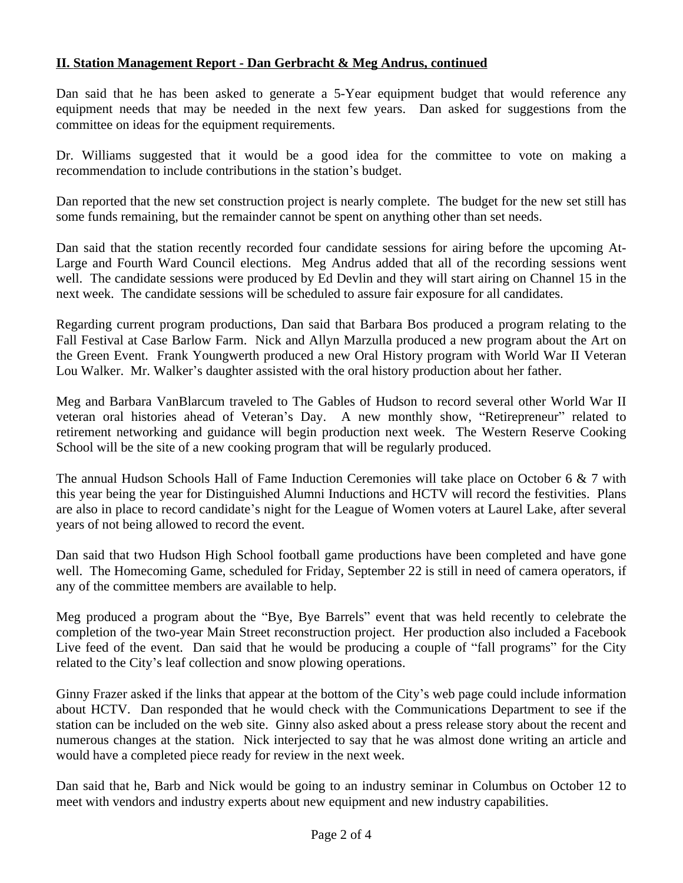# **II. Station Management Report - Dan Gerbracht & Meg Andrus, continued**

Dan said that he has been asked to generate a 5-Year equipment budget that would reference any equipment needs that may be needed in the next few years. Dan asked for suggestions from the committee on ideas for the equipment requirements.

Dr. Williams suggested that it would be a good idea for the committee to vote on making a recommendation to include contributions in the station's budget.

Dan reported that the new set construction project is nearly complete. The budget for the new set still has some funds remaining, but the remainder cannot be spent on anything other than set needs.

Dan said that the station recently recorded four candidate sessions for airing before the upcoming At-Large and Fourth Ward Council elections. Meg Andrus added that all of the recording sessions went well. The candidate sessions were produced by Ed Devlin and they will start airing on Channel 15 in the next week. The candidate sessions will be scheduled to assure fair exposure for all candidates.

Regarding current program productions, Dan said that Barbara Bos produced a program relating to the Fall Festival at Case Barlow Farm. Nick and Allyn Marzulla produced a new program about the Art on the Green Event. Frank Youngwerth produced a new Oral History program with World War II Veteran Lou Walker. Mr. Walker's daughter assisted with the oral history production about her father.

Meg and Barbara VanBlarcum traveled to The Gables of Hudson to record several other World War II veteran oral histories ahead of Veteran's Day. A new monthly show, "Retirepreneur" related to retirement networking and guidance will begin production next week. The Western Reserve Cooking School will be the site of a new cooking program that will be regularly produced.

The annual Hudson Schools Hall of Fame Induction Ceremonies will take place on October 6 & 7 with this year being the year for Distinguished Alumni Inductions and HCTV will record the festivities. Plans are also in place to record candidate's night for the League of Women voters at Laurel Lake, after several years of not being allowed to record the event.

Dan said that two Hudson High School football game productions have been completed and have gone well. The Homecoming Game, scheduled for Friday, September 22 is still in need of camera operators, if any of the committee members are available to help.

Meg produced a program about the "Bye, Bye Barrels" event that was held recently to celebrate the completion of the two-year Main Street reconstruction project. Her production also included a Facebook Live feed of the event. Dan said that he would be producing a couple of "fall programs" for the City related to the City's leaf collection and snow plowing operations.

Ginny Frazer asked if the links that appear at the bottom of the City's web page could include information about HCTV. Dan responded that he would check with the Communications Department to see if the station can be included on the web site. Ginny also asked about a press release story about the recent and numerous changes at the station. Nick interjected to say that he was almost done writing an article and would have a completed piece ready for review in the next week.

Dan said that he, Barb and Nick would be going to an industry seminar in Columbus on October 12 to meet with vendors and industry experts about new equipment and new industry capabilities.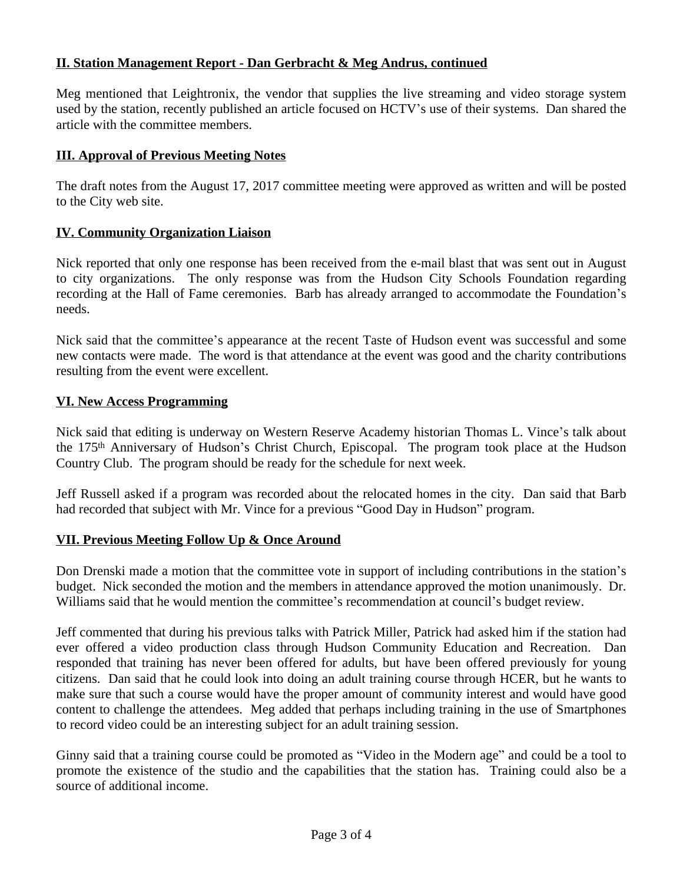# **II. Station Management Report - Dan Gerbracht & Meg Andrus, continued**

Meg mentioned that Leightronix, the vendor that supplies the live streaming and video storage system used by the station, recently published an article focused on HCTV's use of their systems. Dan shared the article with the committee members.

## **III. Approval of Previous Meeting Notes**

The draft notes from the August 17, 2017 committee meeting were approved as written and will be posted to the City web site.

# **IV. Community Organization Liaison**

Nick reported that only one response has been received from the e-mail blast that was sent out in August to city organizations. The only response was from the Hudson City Schools Foundation regarding recording at the Hall of Fame ceremonies. Barb has already arranged to accommodate the Foundation's needs.

Nick said that the committee's appearance at the recent Taste of Hudson event was successful and some new contacts were made. The word is that attendance at the event was good and the charity contributions resulting from the event were excellent.

### **VI. New Access Programming**

Nick said that editing is underway on Western Reserve Academy historian Thomas L. Vince's talk about the 175th Anniversary of Hudson's Christ Church, Episcopal. The program took place at the Hudson Country Club. The program should be ready for the schedule for next week.

Jeff Russell asked if a program was recorded about the relocated homes in the city. Dan said that Barb had recorded that subject with Mr. Vince for a previous "Good Day in Hudson" program.

# **VII. Previous Meeting Follow Up & Once Around**

Don Drenski made a motion that the committee vote in support of including contributions in the station's budget. Nick seconded the motion and the members in attendance approved the motion unanimously. Dr. Williams said that he would mention the committee's recommendation at council's budget review.

Jeff commented that during his previous talks with Patrick Miller, Patrick had asked him if the station had ever offered a video production class through Hudson Community Education and Recreation. Dan responded that training has never been offered for adults, but have been offered previously for young citizens. Dan said that he could look into doing an adult training course through HCER, but he wants to make sure that such a course would have the proper amount of community interest and would have good content to challenge the attendees. Meg added that perhaps including training in the use of Smartphones to record video could be an interesting subject for an adult training session.

Ginny said that a training course could be promoted as "Video in the Modern age" and could be a tool to promote the existence of the studio and the capabilities that the station has. Training could also be a source of additional income.